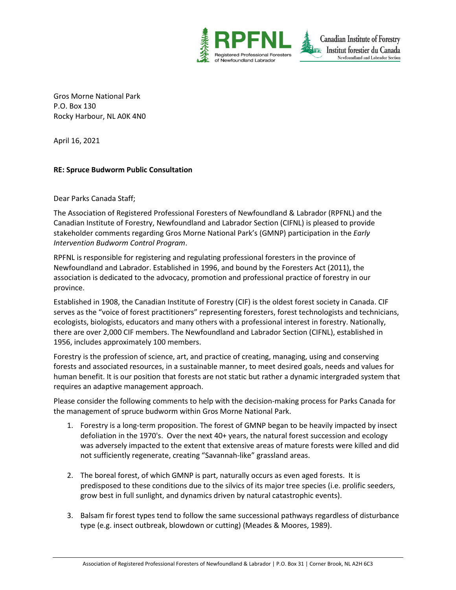

Gros Morne National Park P.O. Box 130 Rocky Harbour, NL A0K 4N0

April 16, 2021

## **RE: Spruce Budworm Public Consultation**

Dear Parks Canada Staff;

The Association of Registered Professional Foresters of Newfoundland & Labrador (RPFNL) and the Canadian Institute of Forestry, Newfoundland and Labrador Section (CIFNL) is pleased to provide stakeholder comments regarding Gros Morne National Park's (GMNP) participation in the *Early Intervention Budworm Control Program*.

RPFNL is responsible for registering and regulating professional foresters in the province of Newfoundland and Labrador. Established in 1996, and bound by the Foresters Act (2011), the association is dedicated to the advocacy, promotion and professional practice of forestry in our province.

Established in 1908, the Canadian Institute of Forestry (CIF) is the oldest forest society in Canada. CIF serves as the "voice of forest practitioners" representing foresters, forest technologists and technicians, ecologists, biologists, educators and many others with a professional interest in forestry. Nationally, there are over 2,000 CIF members. The Newfoundland and Labrador Section (CIFNL), established in 1956, includes approximately 100 members.

Forestry is the profession of science, art, and practice of creating, managing, using and conserving forests and associated resources, in a sustainable manner, to meet desired goals, needs and values for human benefit. It is our position that forests are not static but rather a dynamic intergraded system that requires an adaptive management approach.

Please consider the following comments to help with the decision-making process for Parks Canada for the management of spruce budworm within Gros Morne National Park.

- 1. Forestry is a long-term proposition. The forest of GMNP began to be heavily impacted by insect defoliation in the 1970's. Over the next 40+ years, the natural forest succession and ecology was adversely impacted to the extent that extensive areas of mature forests were killed and did not sufficiently regenerate, creating "Savannah-like" grassland areas.
- 2. The boreal forest, of which GMNP is part, naturally occurs as even aged forests. It is predisposed to these conditions due to the silvics of its major tree species (i.e. prolific seeders, grow best in full sunlight, and dynamics driven by natural catastrophic events).
- 3. Balsam fir forest types tend to follow the same successional pathways regardless of disturbance type (e.g. insect outbreak, blowdown or cutting) (Meades & Moores, 1989).